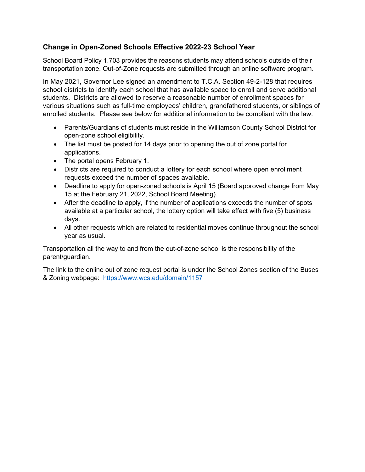## **Change in Open-Zoned Schools Effective 2022-23 School Year**

 School Board Policy 1.703 provides the reasons students may attend schools outside of their transportation zone. Out-of-Zone requests are submitted through an online software program.

 In May 2021, Governor Lee signed an amendment to T.C.A. Section 49-2-128 that requires school districts to identify each school that has available space to enroll and serve additional students. Districts are allowed to reserve a reasonable number of enrollment spaces for various situations such as full-time employees' children, grandfathered students, or siblings of enrolled students. Please see below for additional information to be compliant with the law.

- • Parents/Guardians of students must reside in the Williamson County School District for open-zone school eligibility.
- • The list must be posted for 14 days prior to opening the out of zone portal for applications.
- The portal opens February 1.
- • Districts are required to conduct a lottery for each school where open enrollment requests exceed the number of spaces available.
- • Deadline to apply for open-zoned schools is April 15 (Board approved change from May 15 at the February 21, 2022, School Board Meeting).
- After the deadline to apply, if the number of applications exceeds the number of spots available at a particular school, the lottery option will take effect with five (5) business days.
- All other requests which are related to residential moves continue throughout the school year as usual.

Transportation all the way to and from the out-of-zone school is the responsibility of the parent/guardian.

& Zoning webpage: <u>https://www.wcs.edu/domain/1157</u> The link to the online out of zone request portal is under the School Zones section of the Buses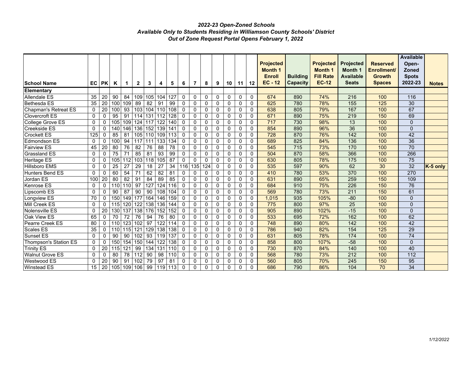## *2022-23 Open-Zoned Schools Available Only to Students Residing in Williamson County Schools' District Out of Zone Request Portal Opens February 1, 2022*

|                             |              |                 |                 |                   |                |         |                 |                 |              |                 |              |             |             |             |             | <b>Projected</b> |                 | <b>Projected</b> | <b>Projected</b> | <b>Reserved</b> | <b>Available</b><br>Open- |              |
|-----------------------------|--------------|-----------------|-----------------|-------------------|----------------|---------|-----------------|-----------------|--------------|-----------------|--------------|-------------|-------------|-------------|-------------|------------------|-----------------|------------------|------------------|-----------------|---------------------------|--------------|
|                             |              |                 |                 |                   |                |         |                 |                 |              |                 |              |             |             |             |             | <b>Month 1</b>   |                 | <b>Month 1</b>   | <b>Month 1</b>   | Enrollment/     | Zoned                     |              |
|                             |              |                 |                 |                   |                |         |                 |                 |              |                 |              |             |             |             |             | <b>Enroll</b>    | <b>Building</b> | <b>Fill Rate</b> | <b>Available</b> | <b>Growth</b>   | <b>Spots</b>              |              |
| <b>School Name</b>          | <b>EC</b>    | <b>PK</b>       | Κ               | 1                 | $\mathbf{2}$   | 3       | 4               | 5               | 6            | $\overline{7}$  | 8            | 9           | 10          | 11          | 12          | $EC - 12$        | <b>Capacity</b> | <b>EC-12</b>     | <b>Seats</b>     | <b>Spaces</b>   | 2022-23                   | <b>Notes</b> |
| Elementary                  |              |                 |                 |                   |                |         |                 |                 |              |                 |              |             |             |             |             |                  |                 |                  |                  |                 |                           |              |
| Allendale ES                | 35           | 20              | 90              | 84                | 109            | 105     | 104             | 127             | $\mathbf 0$  | $\mathbf 0$     | $\mathbf 0$  | $\mathbf 0$ | $\mathbf 0$ | $\mathbf 0$ | $\mathbf 0$ | 674              | 890             | 74%              | 216              | 100             | 116                       |              |
| <b>Bethesda ES</b>          | 35           | 20              | 100             | 109               | 89             | 82      | 91              | 99              | 0            | $\pmb{0}$       | 0            | $\mathbf 0$ | $\mathbf 0$ | $\pmb{0}$   | $\mathbf 0$ | 625              | 780             | 78%              | 155              | 125             | 30                        |              |
| <b>Chapman's Retreat ES</b> | 0            | 20              | 100             | 93                | 103            | 104     | 110             | 108             | $\mathbf 0$  | $\mathbf 0$     | $\mathbf 0$  | $\mathbf 0$ | $\mathbf 0$ | $\mathbf 0$ | $\mathbf 0$ | 638              | 805             | 79%              | 167              | 100             | 67                        |              |
| <b>Clovercroft ES</b>       | $\mathbf{0}$ | $\Omega$        | 95              | 91                | 114            |         | 131 112         | 128             | $\mathbf{0}$ | $\mathbf 0$     | $\mathbf 0$  | $\mathbf 0$ | $\mathbf 0$ | $\mathbf 0$ | $\Omega$    | 671              | 890             | 75%              | 219              | 150             | 69                        |              |
| College Grove ES            | $\mathbf 0$  | $\mathbf 0$     | 105             | 109               | 124            | 117     | 122             | 140             | $\mathbf 0$  | $\mathbf 0$     | $\mathbf 0$  | $\mathbf 0$ | $\mathbf 0$ | $\mathbf 0$ | $\mathbf 0$ | 717              | 730             | 98%              | 13               | 100             | $\mathbf{0}$              |              |
| Creekside ES                | $\mathbf 0$  | $\pmb{0}$       | 140             | 146               | 136            | 152     | 139             | 141             | $\mathbf{0}$ | $\mathbf 0$     | $\mathbf 0$  | $\mathbf 0$ | $\mathbf 0$ | $\mathbf 0$ | $\Omega$    | 854              | 890             | 96%              | 36               | 100             | $\Omega$                  |              |
| Crockett ES                 | 125          | 0               | 85              | 81                |                | 105 110 | 109             | 113             | $\mathbf 0$  | 0               | $\mathbf 0$  | $\mathbf 0$ | $\mathbf 0$ | 0           | 0           | 728              | 870             | 76%              | 142              | 100             | 42                        |              |
| Edmondson ES                | $\mathbf 0$  | 0               | 100             | 94                | 117            | 111     | 133             | 134             | 0            | 0               | 0            | $\mathbf 0$ | 0           | $\mathbf 0$ | $\Omega$    | 689              | 825             | 84%              | 136              | 100             | $\overline{36}$           |              |
| <b>Fairview ES</b>          | 45           | 20              | 80              | 76                | 82             | 76      | 88              | 78              | $\pmb{0}$    | $\mathbf 0$     | 0            | $\mathbf 0$ | $\mathbf 0$ | $\mathbf 0$ | $\mathbf 0$ | 545              | 715             | 73%              | 170              | 100             | 70                        |              |
| <b>Grassland ES</b>         | $\mathbf 0$  | 0               | 75              | $\overline{71}$   | 85             | 81      | 93              | 99              | $\mathbf 0$  | $\mathbf 0$     | 0            | $\mathbf 0$ | $\mathbf 0$ | $\mathbf 0$ | $\mathbf 0$ | 504              | 870             | 58%              | 366              | 100             | 266                       |              |
| Heritage ES                 | $\mathbf{0}$ | 0               | 105             | 112               | 103            | 118     | 105             | $\overline{87}$ | $\mathbf 0$  | $\mathbf 0$     | $\mathbf 0$  | $\mathbf 0$ | $\mathbf 0$ | $\mathbf 0$ | $\Omega$    | 630              | 805             | 78%              | 175              | 100             | $\overline{75}$           |              |
| <b>Hillsboro EMS</b>        | $\mathbf 0$  | 0               | 25              | 27                | 29             | 18      | 27              | 34              | 116          | $\frac{135}{1}$ | 124          | $\mathbf 0$ | $\mathbf 0$ | $\mathbf 0$ | $\mathbf 0$ | 535              | 597             | 90%              | 62               | 30              | $\overline{32}$           | $K-5$ only   |
| <b>Hunters Bend ES</b>      | $\mathbf{0}$ | 0               | 60              | 54                | 71             | 62      | 82              | 81              | $\mathbf 0$  | $\mathbf 0$     | $\mathbf{0}$ | $\Omega$    | $\Omega$    | $\mathbf 0$ | $\Omega$    | 410              | 780             | 53%              | 370              | 100             | 270                       |              |
| Jordan ES                   | 100          | 20              | 80              | 82                | 91             | 84      | 89              | 85              | $\mathbf 0$  | $\mathbf 0$     | 0            | $\mathbf 0$ | $\mathbf 0$ | $\mathbf 0$ | 0           | 631              | 890             | 65%              | 259              | 150             | 109                       |              |
| Kenrose ES                  | 0            | 0               | 110             | 110               | 97             | 127     | 124             | 116             | $\mathbf 0$  | $\mathbf 0$     | 0            | $\mathbf 0$ | $\mathbf 0$ | $\mathbf 0$ | $\mathbf 0$ | 684              | 910             | 75%              | 226              | 150             | $\overline{76}$           |              |
| Lipscomb ES                 | $\mathbf 0$  | 0               | 90              | 87                | 90             | 90      | 108             | 104             | $\mathbf 0$  | $\mathbf 0$     | $\mathbf 0$  | $\mathbf 0$ | $\mathbf 0$ | 0           | 0           | 569              | 780             | 73%              | 211              | 150             | 61                        |              |
| Longview ES                 | 70           | $\mathbf 0$     | 150             | 149               | 177            | 164     | 146             | 159             | $\mathbf 0$  | $\pmb{0}$       | 0            | 0           | $\mathbf 0$ | 0           | $\mathbf 0$ | 1,015            | 935             | 105%             | $-80$            | 100             | $\mathbf{0}$              |              |
| Mill Creek ES               | $\mathbf 0$  | 0               | 115             | 120               | 122            | 138     | 136             | 144             | $\mathbf 0$  | $\mathbf 0$     | 0            | $\mathbf 0$ | $\mathbf 0$ | $\mathbf 0$ | $\mathbf 0$ | 775              | 800             | 97%              | $\overline{25}$  | 100             | $\mathbf{0}$              |              |
| Nolensville ES              | $\mathbf 0$  | 20              | 130             | 137               | 138            | 176     | 152             | 152             | $\mathbf 0$  | $\mathbf 0$     | 0            | $\Omega$    | $\Omega$    | $\Omega$    | $\Omega$    | 905              | 890             | 102%             | $-15$            | 100             | $\Omega$                  |              |
| Oak View ES                 | 65           | 0               | $\overline{70}$ | $\overline{72}$   | 76             | 94      | $\overline{76}$ | 80              | $\pmb{0}$    | $\mathbf 0$     | $\mathbf 0$  | $\mathbf 0$ | $\mathbf 0$ | $\pmb{0}$   | $\mathbf 0$ | 533              | 695             | 72%              | 162              | 100             | 62                        |              |
| Pearre Creek ES             | 80           | 0               | 110             | 123               | 102            | 97      | 122             | 114             | $\mathbf{0}$ | $\mathbf{0}$    | $\mathbf 0$  | $\mathbf 0$ | $\mathbf 0$ | $\mathbf 0$ | $\Omega$    | 748              | 890             | 80%              | 142              | 100             | 42                        |              |
| Scales ES                   | 35           | $\mathbf 0$     | 110             | 115               | 121            | 129     | 138             | 138             | $\mathbf 0$  | $\mathbf 0$     | $\mathbf 0$  | $\mathbf 0$ | $\mathbf 0$ | $\mathbf 0$ | $\mathbf 0$ | 786              | 940             | 82%              | 154              | 125             | 29                        |              |
| Sunset ES                   | 0            | 0               | 90              | 90                | 102            | 93      | 119             | 137             | $\mathbf 0$  | $\mathbf 0$     | 0            | 0           | $\mathbf 0$ | 0           | $\mathbf 0$ | 631              | 805             | 78%              | 174              | 100             | 74                        |              |
| Thompson's Station ES       | $\mathbf 0$  | $\mathbf 0$     | 150             | $\frac{154}{154}$ | 150            | 144     | 122             | 138             | $\mathbf 0$  | $\mathbf 0$     | $\mathbf 0$  | $\mathbf 0$ | $\mathbf 0$ | $\mathbf 0$ | $\Omega$    | 858              | 800             | 107%             | $-58$            | 100             | $\Omega$                  |              |
| <b>Trinity ES</b>           | 0            | $\overline{20}$ | 115             | 121               | 99             | 134     | 131             | 110             | $\mathbf 0$  | $\mathbf 0$     | $\mathbf 0$  | $\mathbf 0$ | $\mathbf 0$ | $\mathbf 0$ | 0           | 730              | 870             | 84%              | $\frac{140}{ }$  | 100             | 40                        |              |
| Walnut Grove ES             | $\mathbf 0$  | $\mathbf 0$     | 80              | 78                | $\frac{11}{2}$ | 90      | 98              | 110             | $\mathbf 0$  | $\mathbf 0$     | $\mathbf 0$  | $\mathbf 0$ | $\mathbf 0$ | $\mathbf 0$ | 0           | 568              | 780             | 73%              | 212              | 100             | 112                       |              |
| Westwood ES                 | 0            | 20              | 90              | 91                | 102            | 79      | 97              | 81              | $\mathbf{0}$ | $\mathbf 0$     | $\mathbf 0$  | 0           | 0           | 0           | 0           | 560              | 805             | 70%              | 245              | 150             | 95                        |              |
| <b>Winstead ES</b>          | 15           | 20              | 105             | 109               | 106            | 99      | $119$   113     |                 | $\Omega$     | $\mathbf{0}$    | $\Omega$     | $\Omega$    | $\Omega$    | $\Omega$    | $\Omega$    | 686              | 790             | 86%              | 104              | 70              | $\overline{34}$           |              |